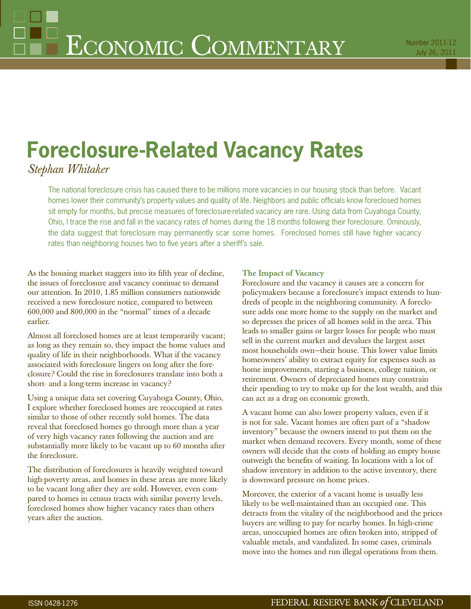# **Foreclosure-Related Vacancy Rates**

*Stephan Whitaker*

The national foreclosure crisis has caused there to be millions more vacancies in our housing stock than before. Vacant homes lower their community's property values and quality of life. Neighbors and public officials know foreclosed homes sit empty for months, but precise measures of foreclosure-related vacancy are rare. Using data from Cuyahoga County, Ohio, I trace the rise and fall in the vacancy rates of homes during the 18 months following their foreclosure. Ominously, the data suggest that foreclosure may permanently scar some homes. Foreclosed homes still have higher vacancy rates than neighboring houses two to five years after a sheriff's sale.

As the housing market staggers into its fifth year of decline, the issues of foreclosure and vacancy continue to demand our attention. In 2010, 1.85 million consumers nationwide received a new foreclosure notice, compared to between 600,000 and 800,000 in the "normal" times of a decade earlier.

Almost all foreclosed homes are at least temporarily vacant; as long as they remain so, they impact the home values and quality of life in their neighborhoods. What if the vacancy associated with foreclosure lingers on long after the foreclosure? Could the rise in foreclosures translate into both a short- and a long-term increase in vacancy?

Using a unique data set covering Cuyahoga County, Ohio, I explore whether foreclosed homes are reoccupied at rates similar to those of other recently sold homes. The data reveal that foreclosed homes go through more than a year of very high vacancy rates following the auction and are substantially more likely to be vacant up to 60 months after the foreclosure.

The distribution of foreclosures is heavily weighted toward high-poverty areas, and homes in these areas are more likely to be vacant long after they are sold. However, even compared to homes in census tracts with similar poverty levels, foreclosed homes show higher vacancy rates than others years after the auction.

# **The Impact of Vacancy**

Foreclosure and the vacancy it causes are a concern for policymakers because a foreclosure's impact extends to hundreds of people in the neighboring community. A foreclosure adds one more home to the supply on the market and so depresses the prices of all homes sold in the area. This leads to smaller gains or larger losses for people who must sell in the current market and devalues the largest asset most households own—their house. This lower value limits homeowners' ability to extract equity for expenses such as home improvements, starting a business, college tuition, or retirement. Owners of depreciated homes may constrain their spending to try to make up for the lost wealth, and this can act as a drag on economic growth.

A vacant home can also lower property values, even if it is not for sale. Vacant homes are often part of a "shadow inventory" because the owners intend to put them on the market when demand recovers. Every month, some of these owners will decide that the costs of holding an empty house outweigh the benefits of waiting. In locations with a lot of shadow inventory in addition to the active inventory, there is downward pressure on home prices.

Moreover, the exterior of a vacant home is usually less likely to be well-maintained than an occupied one. This detracts from the vitality of the neighborhood and the prices buyers are willing to pay for nearby homes. In high-crime areas, unoccupied homes are often broken into, stripped of valuable metals, and vandalized. In some cases, criminals move into the homes and run illegal operations from them.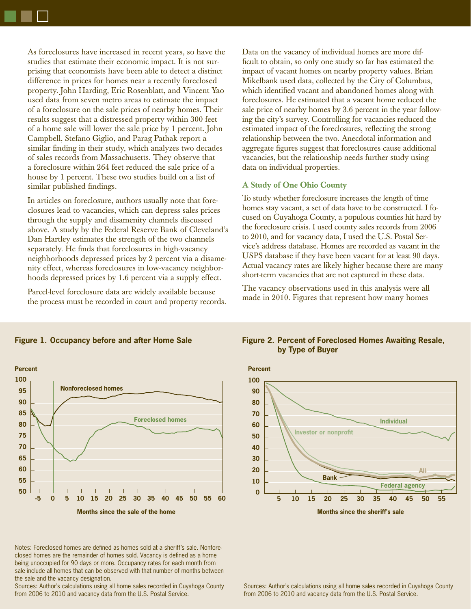As foreclosures have increased in recent years, so have the studies that estimate their economic impact. It is not surprising that economists have been able to detect a distinct difference in prices for homes near a recently foreclosed property. John Harding, Eric Rosenblatt, and Vincent Yao used data from seven metro areas to estimate the impact of a foreclosure on the sale prices of nearby homes. Their results suggest that a distressed property within 300 feet of a home sale will lower the sale price by 1 percent. John Campbell, Stefano Giglio, and Parag Pathak report a similar finding in their study, which analyzes two decades of sales records from Massachusetts. They observe that a foreclosure within 264 feet reduced the sale price of a house by 1 percent. These two studies build on a list of similar published findings.

In articles on foreclosure, authors usually note that foreclosures lead to vacancies, which can depress sales prices through the supply and disamenity channels discussed above. A study by the Federal Reserve Bank of Cleveland's Dan Hartley estimates the strength of the two channels separately. He finds that foreclosures in high-vacancy neighborhoods depressed prices by 2 percent via a disamenity effect, whereas foreclosures in low-vacancy neighborhoods depressed prices by 1.6 percent via a supply effect.

Parcel-level foreclosure data are widely available because the process must be recorded in court and property records. Data on the vacancy of individual homes are more difficult to obtain, so only one study so far has estimated the impact of vacant homes on nearby property values. Brian Mikelbank used data, collected by the City of Columbus, which identified vacant and abandoned homes along with foreclosures. He estimated that a vacant home reduced the sale price of nearby homes by 3.6 percent in the year following the city's survey. Controlling for vacancies reduced the estimated impact of the foreclosures, reflecting the strong relationship between the two. Anecdotal information and aggregate figures suggest that foreclosures cause additional vacancies, but the relationship needs further study using data on individual properties.

#### **A Study of One Ohio County**

To study whether foreclosure increases the length of time homes stay vacant, a set of data have to be constructed. I focused on Cuyahoga County, a populous counties hit hard by the foreclosure crisis. I used county sales records from 2006 to 2010, and for vacancy data, I used the U.S. Postal Service's address database. Homes are recorded as vacant in the USPS database if they have been vacant for at least 90 days. Actual vacancy rates are likely higher because there are many short-term vacancies that are not captured in these data.

The vacancy observations used in this analysis were all made in 2010. Figures that represent how many homes



## **Figure 1. Occupancy before and after Home Sale**

Notes: Foreclosed homes are defined as homes sold at a sheriff's sale. Nonforeclosed homes are the remainder of homes sold. Vacancy is defined as a home being unoccupied for 90 days or more. Occupancy rates for each month from sale include all homes that can be observed with that number of months between the sale and the vacancy designation.

Sources: Author's calculations using all home sales recorded in Cuyahoga County from 2006 to 2010 and vacancy data from the U.S. Postal Service.

## **Figure 2. Percent of Foreclosed Homes Awaiting Resale, by Type of Buyer**



Sources: Author's calculations using all home sales recorded in Cuyahoga County from 2006 to 2010 and vacancy data from the U.S. Postal Service.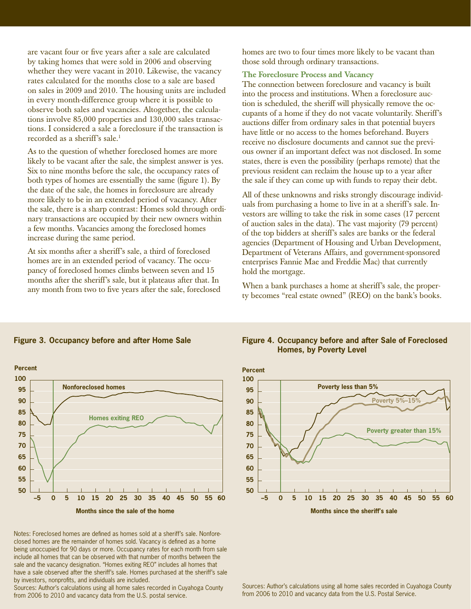are vacant four or five years after a sale are calculated by taking homes that were sold in 2006 and observing whether they were vacant in 2010. Likewise, the vacancy rates calculated for the months close to a sale are based on sales in 2009 and 2010. The housing units are included in every month-difference group where it is possible to observe both sales and vacancies. Altogether, the calculations involve 85,000 properties and 130,000 sales transactions. I considered a sale a foreclosure if the transaction is recorded as a sheriff's sale.<sup>1</sup>

As to the question of whether foreclosed homes are more likely to be vacant after the sale, the simplest answer is yes. Six to nine months before the sale, the occupancy rates of both types of homes are essentially the same (figure 1). By the date of the sale, the homes in foreclosure are already more likely to be in an extended period of vacancy. After the sale, there is a sharp contrast: Homes sold through ordinary transactions are occupied by their new owners within a few months. Vacancies among the foreclosed homes increase during the same period.

At six months after a sheriff's sale, a third of foreclosed homes are in an extended period of vacancy. The occupancy of foreclosed homes climbs between seven and 15 months after the sheriff's sale, but it plateaus after that. In any month from two to five years after the sale, foreclosed homes are two to four times more likely to be vacant than those sold through ordinary transactions.

#### **The Foreclosure Process and Vacancy**

The connection between foreclosure and vacancy is built into the process and institutions. When a foreclosure auction is scheduled, the sheriff will physically remove the occupants of a home if they do not vacate voluntarily. Sheriff's auctions differ from ordinary sales in that potential buyers have little or no access to the homes beforehand. Buyers receive no disclosure documents and cannot sue the previous owner if an important defect was not disclosed. In some states, there is even the possibility (perhaps remote) that the previous resident can reclaim the house up to a year after the sale if they can come up with funds to repay their debt.

All of these unknowns and risks strongly discourage individuals from purchasing a home to live in at a sheriff's sale. Investors are willing to take the risk in some cases (17 percent of auction sales in the data). The vast majority (79 percent) of the top bidders at sheriff's sales are banks or the federal agencies (Department of Housing and Urban Development, Department of Veterans Affairs, and government-sponsored enterprises Fannie Mae and Freddie Mac) that currently hold the mortgage.

When a bank purchases a home at sheriff's sale, the property becomes "real estate owned" (REO) on the bank's books.



**Figure 3. Occupancy before and after Home Sale**

Notes: Foreclosed homes are defined as homes sold at a sheriff's sale. Nonforeclosed homes are the remainder of homes sold. Vacancy is defined as a home being unoccupied for 90 days or more. Occupancy rates for each month from sale include all homes that can be observed with that number of months between the sale and the vacancy designation. "Homes exiting REO" includes all homes that have a sale observed after the sheriff's sale. Homes purchased at the sheriff's sale by investors, nonprofits, and individuals are included.

Sources: Author's calculations using all home sales recorded in Cuyahoga County from 2006 to 2010 and vacancy data from the U.S. postal service.

## **Figure 4. Occupancy before and after Sale of Foreclosed Homes, by Poverty Level**



Sources: Author's calculations using all home sales recorded in Cuyahoga County from 2006 to 2010 and vacancy data from the U.S. Postal Service.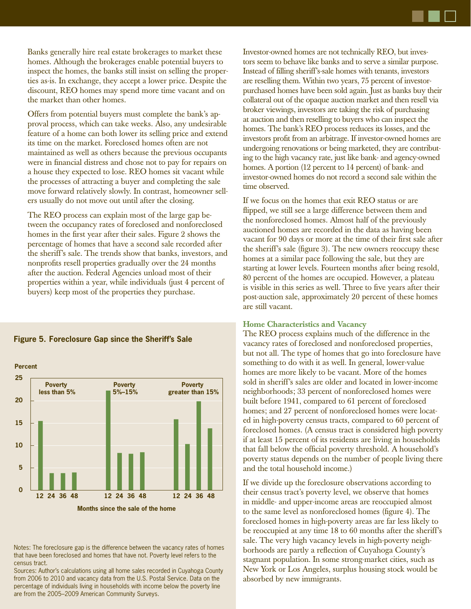

Banks generally hire real estate brokerages to market these homes. Although the brokerages enable potential buyers to inspect the homes, the banks still insist on selling the properties as-is. In exchange, they accept a lower price. Despite the discount, REO homes may spend more time vacant and on the market than other homes.

Offers from potential buyers must complete the bank's approval process, which can take weeks. Also, any undesirable feature of a home can both lower its selling price and extend its time on the market. Foreclosed homes often are not maintained as well as others because the previous occupants were in financial distress and chose not to pay for repairs on a house they expected to lose. REO homes sit vacant while the processes of attracting a buyer and completing the sale move forward relatively slowly. In contrast, homeowner sellers usually do not move out until after the closing.

The REO process can explain most of the large gap between the occupancy rates of foreclosed and nonforeclosed homes in the first year after their sales. Figure 2 shows the percentage of homes that have a second sale recorded after the sheriff's sale. The trends show that banks, investors, and nonprofits resell properties gradually over the 24 months after the auction. Federal Agencies unload most of their properties within a year, while individuals (just 4 percent of buyers) keep most of the properties they purchase.



#### **Figure 5. Foreclosure Gap since the Sheriff's Sale**

Notes: The foreclosure gap is the difference between the vacancy rates of homes that have been foreclosed and homes that have not. Poverty level refers to the census tract.

Sources: Author's calculations using all home sales recorded in Cuyahoga County from 2006 to 2010 and vacancy data from the U.S. Postal Service. Data on the percentage of individuals living in households with income below the poverty line are from the 2005–2009 American Community Surveys.

Investor-owned homes are not technically REO, but investors seem to behave like banks and to serve a similar purpose. Instead of filling sheriff's-sale homes with tenants, investors are reselling them. Within two years, 75 percent of investorpurchased homes have been sold again. Just as banks buy their collateral out of the opaque auction market and then resell via broker viewings, investors are taking the risk of purchasing at auction and then reselling to buyers who can inspect the homes. The bank's REO process reduces its losses, and the investors profit from an arbitrage. If investor-owned homes are undergoing renovations or being marketed, they are contributing to the high vacancy rate, just like bank- and agency-owned homes. A portion (12 percent to 14 percent) of bank- and investor-owned homes do not record a second sale within the time observed.

If we focus on the homes that exit REO status or are flipped, we still see a large difference between them and the nonforeclosed homes. Almost half of the previously auctioned homes are recorded in the data as having been vacant for 90 days or more at the time of their first sale after the sheriff's sale (figure 3). The new owners reoccupy these homes at a similar pace following the sale, but they are starting at lower levels. Fourteen months after being resold, 80 percent of the homes are occupied. However, a plateau is visible in this series as well. Three to five years after their post-auction sale, approximately 20 percent of these homes are still vacant.

#### **Home Characteristics and Vacancy**

The REO process explains much of the difference in the vacancy rates of foreclosed and nonforeclosed properties, but not all. The type of homes that go into foreclosure have something to do with it as well. In general, lower-value homes are more likely to be vacant. More of the homes sold in sheriff's sales are older and located in lower-income neighborhoods; 33 percent of nonforeclosed homes were built before 1941, compared to 61 percent of foreclosed homes; and 27 percent of nonforeclosed homes were located in high-poverty census tracts, compared to 60 percent of foreclosed homes. (A census tract is considered high poverty if at least 15 percent of its residents are living in households that fall below the official poverty threshold. A household's poverty status depends on the number of people living there and the total household income.)

If we divide up the foreclosure observations according to their census tract's poverty level, we observe that homes in middle- and upper-income areas are reoccupied almost to the same level as nonforeclosed homes (figure 4). The foreclosed homes in high-poverty areas are far less likely to be reoccupied at any time 18 to 60 months after the sheriff's sale. The very high vacancy levels in high-poverty neighborhoods are partly a reflection of Cuyahoga County's stagnant population. In some strong-market cities, such as New York or Los Angeles, surplus housing stock would be absorbed by new immigrants.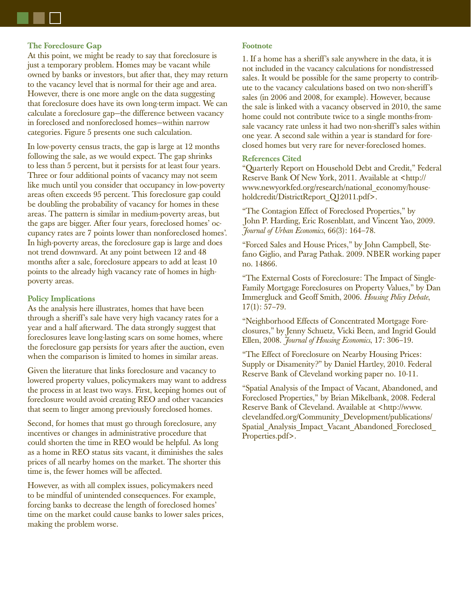### **The Foreclosure Gap**

At this point, we might be ready to say that foreclosure is just a temporary problem. Homes may be vacant while owned by banks or investors, but after that, they may return to the vacancy level that is normal for their age and area. However, there is one more angle on the data suggesting that foreclosure does have its own long-term impact. We can calculate a foreclosure gap—the difference between vacancy in foreclosed and nonforeclosed homes—within narrow categories. Figure 5 presents one such calculation.

In low-poverty census tracts, the gap is large at 12 months following the sale, as we would expect. The gap shrinks to less than 5 percent, but it persists for at least four years. Three or four additional points of vacancy may not seem like much until you consider that occupancy in low-poverty areas often exceeds 95 percent. This foreclosure gap could be doubling the probability of vacancy for homes in these areas. The pattern is similar in medium-poverty areas, but the gaps are bigger. After four years, foreclosed homes' occupancy rates are 7 points lower than nonforeclosed homes'. In high-poverty areas, the foreclosure gap is large and does not trend downward. At any point between 12 and 48 months after a sale, foreclosure appears to add at least 10 points to the already high vacancy rate of homes in highpoverty areas.

#### **Policy Implications**

As the analysis here illustrates, homes that have been through a sheriff's sale have very high vacancy rates for a year and a half afterward. The data strongly suggest that foreclosures leave long-lasting scars on some homes, where the foreclosure gap persists for years after the auction, even when the comparison is limited to homes in similar areas.

Given the literature that links foreclosure and vacancy to lowered property values, policymakers may want to address the process in at least two ways. First, keeping homes out of foreclosure would avoid creating REO and other vacancies that seem to linger among previously foreclosed homes.

Second, for homes that must go through foreclosure, any incentives or changes in administrative procedure that could shorten the time in REO would be helpful. As long as a home in REO status sits vacant, it diminishes the sales prices of all nearby homes on the market. The shorter this time is, the fewer homes will be affected.

However, as with all complex issues, policymakers need to be mindful of unintended consequences. For example, forcing banks to decrease the length of foreclosed homes' time on the market could cause banks to lower sales prices, making the problem worse.

#### **Footnote**

1. If a home has a sheriff's sale anywhere in the data, it is not included in the vacancy calculations for nondistressed sales. It would be possible for the same property to contribute to the vacancy calculations based on two non-sheriff's sales (in 2006 and 2008, for example). However, because the sale is linked with a vacancy observed in 2010, the same home could not contribute twice to a single months-fromsale vacancy rate unless it had two non-sheriff's sales within one year. A second sale within a year is standard for foreclosed homes but very rare for never-foreclosed homes.

#### **References Cited**

"Quarterly Report on Household Debt and Credit," Federal Reserve Bank Of New York, 2011. Available at <http:// www.newyorkfed.org/research/national\_economy/householdcredit/DistrictReport\_Q12011.pdf>.

"The Contagion Effect of Foreclosed Properties," by John P. Harding, Eric Rosenblatt, and Vincent Yao, 2009. *Journal of Urban Economics*, 66(3): 164–78.

"Forced Sales and House Prices," by John Campbell, Stefano Giglio, and Parag Pathak. 2009. NBER working paper no. 14866.

"The External Costs of Foreclosure: The Impact of Single-Family Mortgage Foreclosures on Property Values," by Dan Immergluck and Geoff Smith, 2006. *Housing Policy Debate*,  $17(1): 57-79.$ 

"Neighborhood Effects of Concentrated Mortgage Foreclosures," by Jenny Schuetz, Vicki Been, and Ingrid Gould Ellen, 2008. *Journal of Housing Economics*, 17: 306–19.

"The Effect of Foreclosure on Nearby Housing Prices: Supply or Disamenity?" by Daniel Hartley, 2010. Federal Reserve Bank of Cleveland working paper no. 10-11.

"Spatial Analysis of the Impact of Vacant, Abandoned, and Foreclosed Properties," by Brian Mikelbank, 2008. Federal Reserve Bank of Cleveland. Available at <http://www. clevelandfed.org/Community\_Development/publications/ Spatial\_Analysis\_Impact\_Vacant\_Abandoned\_Foreclosed\_ Properties.pdf>.